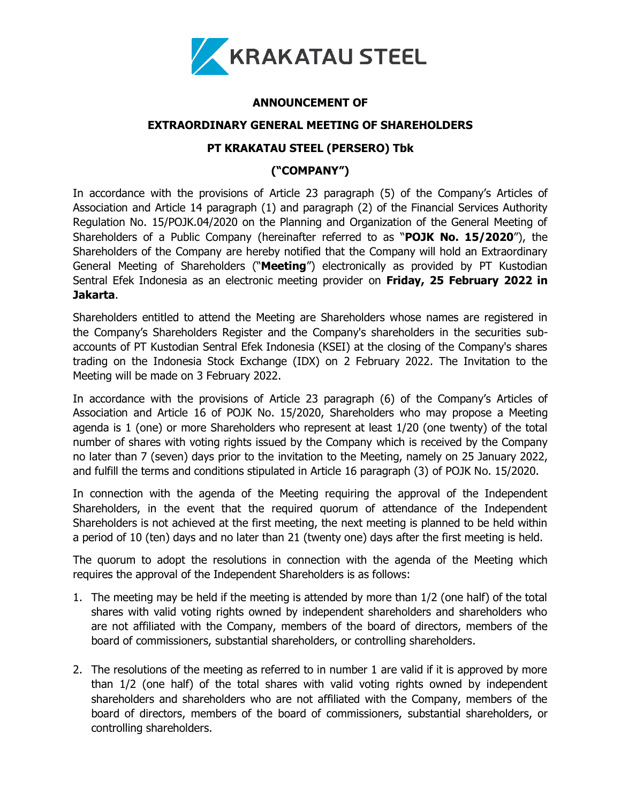

## **ANNOUNCEMENT OF**

#### **EXTRAORDINARY GENERAL MEETING OF SHAREHOLDERS**

# **PT KRAKATAU STEEL (PERSERO) Tbk**

# **("COMPANY")**

In accordance with the provisions of Article 23 paragraph (5) of the Company's Articles of Association and Article 14 paragraph (1) and paragraph (2) of the Financial Services Authority Regulation No. 15/POJK.04/2020 on the Planning and Organization of the General Meeting of Shareholders of a Public Company (hereinafter referred to as "**POJK No. 15/2020**"), the Shareholders of the Company are hereby notified that the Company will hold an Extraordinary General Meeting of Shareholders ("**Meeting**") electronically as provided by PT Kustodian Sentral Efek Indonesia as an electronic meeting provider on **Friday, 25 February 2022 in Jakarta**.

Shareholders entitled to attend the Meeting are Shareholders whose names are registered in the Company's Shareholders Register and the Company's shareholders in the securities subaccounts of PT Kustodian Sentral Efek Indonesia (KSEI) at the closing of the Company's shares trading on the Indonesia Stock Exchange (IDX) on 2 February 2022. The Invitation to the Meeting will be made on 3 February 2022.

In accordance with the provisions of Article 23 paragraph (6) of the Company's Articles of Association and Article 16 of POJK No. 15/2020, Shareholders who may propose a Meeting agenda is 1 (one) or more Shareholders who represent at least 1/20 (one twenty) of the total number of shares with voting rights issued by the Company which is received by the Company no later than 7 (seven) days prior to the invitation to the Meeting, namely on 25 January 2022, and fulfill the terms and conditions stipulated in Article 16 paragraph (3) of POJK No. 15/2020.

In connection with the agenda of the Meeting requiring the approval of the Independent Shareholders, in the event that the required quorum of attendance of the Independent Shareholders is not achieved at the first meeting, the next meeting is planned to be held within a period of 10 (ten) days and no later than 21 (twenty one) days after the first meeting is held.

The quorum to adopt the resolutions in connection with the agenda of the Meeting which requires the approval of the Independent Shareholders is as follows:

- 1. The meeting may be held if the meeting is attended by more than 1/2 (one half) of the total shares with valid voting rights owned by independent shareholders and shareholders who are not affiliated with the Company, members of the board of directors, members of the board of commissioners, substantial shareholders, or controlling shareholders.
- 2. The resolutions of the meeting as referred to in number 1 are valid if it is approved by more than 1/2 (one half) of the total shares with valid voting rights owned by independent shareholders and shareholders who are not affiliated with the Company, members of the board of directors, members of the board of commissioners, substantial shareholders, or controlling shareholders.